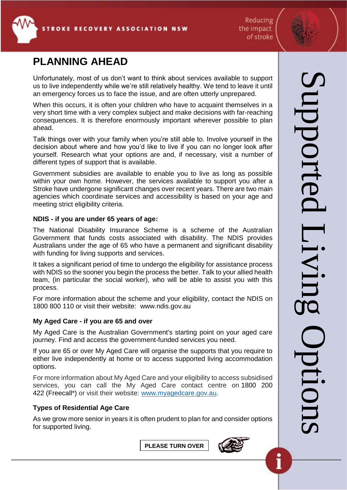

Reducing the impact of stroke

# **PLANNING AHEAD**

Unfortunately, most of us don't want to think about services available to support us to live independently while we're still relatively healthy. We tend to leave it until an emergency forces us to face the issue, and are often utterly unprepared.

When this occurs, it is often your children who have to acquaint themselves in a very short time with a very complex subject and make decisions with far-reaching consequences. It is therefore enormously important wherever possible to plan ahead.

Talk things over with your family when you're still able to. Involve yourself in the decision about where and how you'd like to live if you can no longer look after yourself. Research what your options are and, if necessary, visit a number of different types of support that is available.

Government subsidies are available to enable you to live as long as possible within your own home. However, the services available to support you after a Stroke have undergone significant changes over recent years. There are two main agencies which coordinate services and accessibility is based on your age and meeting strict eligibility criteria.

#### **NDIS - if you are under 65 years of age:**

The National Disability Insurance Scheme is a scheme of the Australian Government that funds costs associated with disability. The NDIS provides Australians under the age of 65 who have a permanent and significant disability with funding for living supports and services.

It takes a significant period of time to undergo the eligibility for assistance process with NDIS so the sooner you begin the process the better. Talk to your allied health team, (in particular the social worker), who will be able to assist you with this process.

For more information about the scheme and your eligibility, contact the NDIS on 1800 800 110 or visit their website: www.ndis.gov.au

## **My Aged Care - if you are 65 and over**

My Aged Care is the Australian Government's starting point on your aged care journey. Find and access the government-funded services you need.

If you are 65 or over My Aged Care will organise the supports that you require to either live independently at home or to access supported living accommodation options.

For more information about My Aged Care and your eligibility to access subsidised services, you can call the My Aged Care contact centre on [1800 200](tel:1800%20200%20422)  [422](tel:1800%20200%20422) (Freecall\*) or visit their website: [www.myagedcare.gov.au.](http://www.myagedcare.gov.au/)

## **Types of Residential Age Care**

As we grow more senior in years it is often prudent to plan for and consider options for supported living.

**PLEASE TURN OVER**